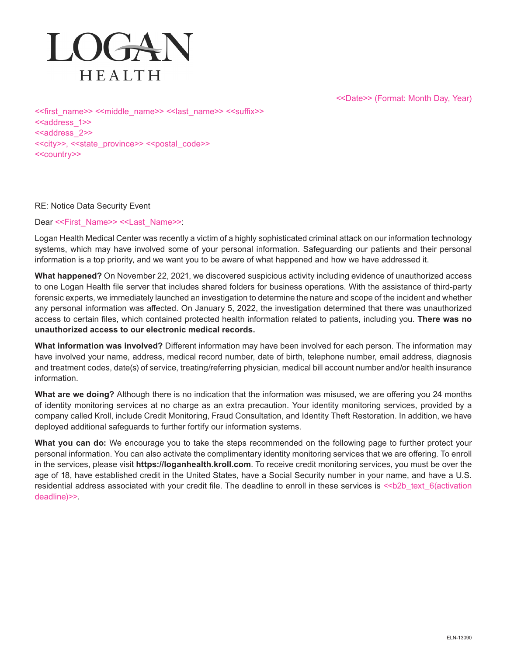<<Date>> (Format: Month Day, Year)



<<first\_name>> <<middle\_name>> <<last\_name>> <<suffix>> <<address\_1>> <<address\_2>> <<city>>, <<state\_province>> <<postal\_code>> <<country>>

## RE: Notice Data Security Event

Dear <<First\_Name>> <<Last\_Name>>:

Logan Health Medical Center was recently a victim of a highly sophisticated criminal attack on our information technology systems, which may have involved some of your personal information. Safeguarding our patients and their personal information is a top priority, and we want you to be aware of what happened and how we have addressed it.

**What happened?** On November 22, 2021, we discovered suspicious activity including evidence of unauthorized access to one Logan Health file server that includes shared folders for business operations. With the assistance of third-party forensic experts, we immediately launched an investigation to determine the nature and scope of the incident and whether any personal information was affected. On January 5, 2022, the investigation determined that there was unauthorized access to certain files, which contained protected health information related to patients, including you. **There was no unauthorized access to our electronic medical records.**

**What information was involved?** Different information may have been involved for each person. The information may have involved your name, address, medical record number, date of birth, telephone number, email address, diagnosis and treatment codes, date(s) of service, treating/referring physician, medical bill account number and/or health insurance information.

**What are we doing?** Although there is no indication that the information was misused, we are offering you 24 months of identity monitoring services at no charge as an extra precaution. Your identity monitoring services, provided by a company called Kroll, include Credit Monitoring, Fraud Consultation, and Identity Theft Restoration. In addition, we have deployed additional safeguards to further fortify our information systems.

**What you can do:** We encourage you to take the steps recommended on the following page to further protect your personal information. You can also activate the complimentary identity monitoring services that we are offering. To enroll in the services, please visit **https://loganhealth.kroll.com**. To receive credit monitoring services, you must be over the age of 18, have established credit in the United States, have a Social Security number in your name, and have a U.S. residential address associated with your credit file. The deadline to enroll in these services is <<br/>b>>>
Lext\_6(activation deadline)>>.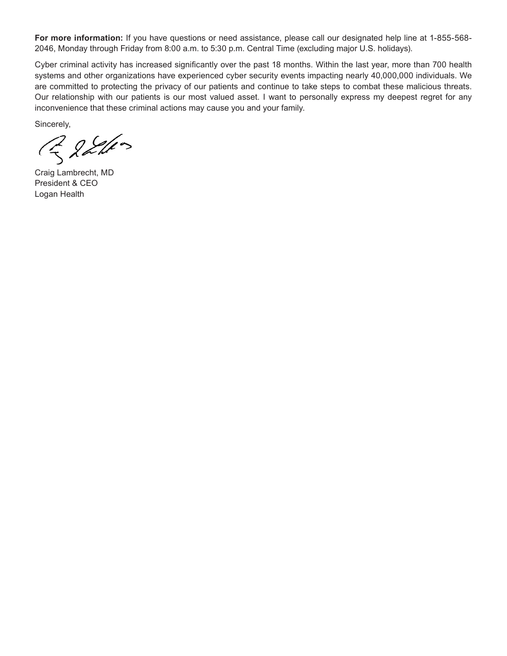**For more information:** If you have questions or need assistance, please call our designated help line at 1-855-568- 2046, Monday through Friday from 8:00 a.m. to 5:30 p.m. Central Time (excluding major U.S. holidays).

Cyber criminal activity has increased significantly over the past 18 months. Within the last year, more than 700 health systems and other organizations have experienced cyber security events impacting nearly 40,000,000 individuals. We are committed to protecting the privacy of our patients and continue to take steps to combat these malicious threats. Our relationship with our patients is our most valued asset. I want to personally express my deepest regret for any inconvenience that these criminal actions may cause you and your family.

Sincerely,

R 22110

Craig Lambrecht, MD President & CEO Logan Health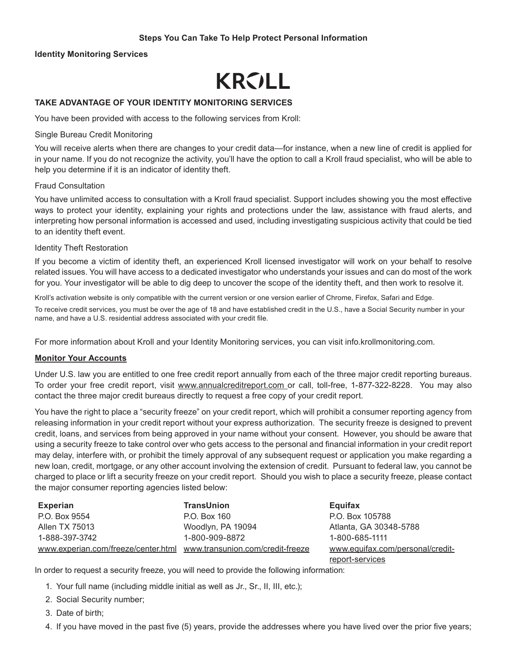## **Steps You Can Take To Help Protect Personal Information**

#### **Identity Monitoring Services**

# **KRVLL**

## **TAKE ADVANTAGE OF YOUR IDENTITY MONITORING SERVICES**

You have been provided with access to the following services from Kroll:

#### Single Bureau Credit Monitoring

You will receive alerts when there are changes to your credit data—for instance, when a new line of credit is applied for in your name. If you do not recognize the activity, you'll have the option to call a Kroll fraud specialist, who will be able to help you determine if it is an indicator of identity theft.

#### Fraud Consultation

You have unlimited access to consultation with a Kroll fraud specialist. Support includes showing you the most effective ways to protect your identity, explaining your rights and protections under the law, assistance with fraud alerts, and interpreting how personal information is accessed and used, including investigating suspicious activity that could be tied to an identity theft event.

#### Identity Theft Restoration

If you become a victim of identity theft, an experienced Kroll licensed investigator will work on your behalf to resolve related issues. You will have access to a dedicated investigator who understands your issues and can do most of the work for you. Your investigator will be able to dig deep to uncover the scope of the identity theft, and then work to resolve it.

Kroll's activation website is only compatible with the current version or one version earlier of Chrome, Firefox, Safari and Edge.

To receive credit services, you must be over the age of 18 and have established credit in the U.S., have a Social Security number in your name, and have a U.S. residential address associated with your credit file.

For more information about Kroll and your Identity Monitoring services, you can visit info.krollmonitoring.com.

#### **Monitor Your Accounts**

Under U.S. law you are entitled to one free credit report annually from each of the three major credit reporting bureaus. To order your free credit report, visit www.annualcreditreport.com or call, toll-free, 1-877-322-8228. You may also contact the three major credit bureaus directly to request a free copy of your credit report.

You have the right to place a "security freeze" on your credit report, which will prohibit a consumer reporting agency from releasing information in your credit report without your express authorization. The security freeze is designed to prevent credit, loans, and services from being approved in your name without your consent. However, you should be aware that using a security freeze to take control over who gets access to the personal and financial information in your credit report may delay, interfere with, or prohibit the timely approval of any subsequent request or application you make regarding a new loan, credit, mortgage, or any other account involving the extension of credit. Pursuant to federal law, you cannot be charged to place or lift a security freeze on your credit report. Should you wish to place a security freeze, please contact the major consumer reporting agencies listed below:

| <b>Experian</b>                     | <b>TransUnion</b>                | Equifax                          |
|-------------------------------------|----------------------------------|----------------------------------|
| P.O. Box 9554                       | P.O. Box 160                     | P.O. Box 105788                  |
| Allen TX 75013                      | Woodlyn, PA 19094                | Atlanta, GA 30348-5788           |
| 1-888-397-3742                      | 1-800-909-8872                   | 1-800-685-1111                   |
| www.experian.com/freeze/center.html | www.transunion.com/credit-freeze | www.equifax.com/personal/credit- |

In order to request a security freeze, you will need to provide the following information:

- 1. Your full name (including middle initial as well as Jr., Sr., II, III, etc.);
- 2. Social Security number;
- 3. Date of birth;
- 4. If you have moved in the past five (5) years, provide the addresses where you have lived over the prior five years;

report-services